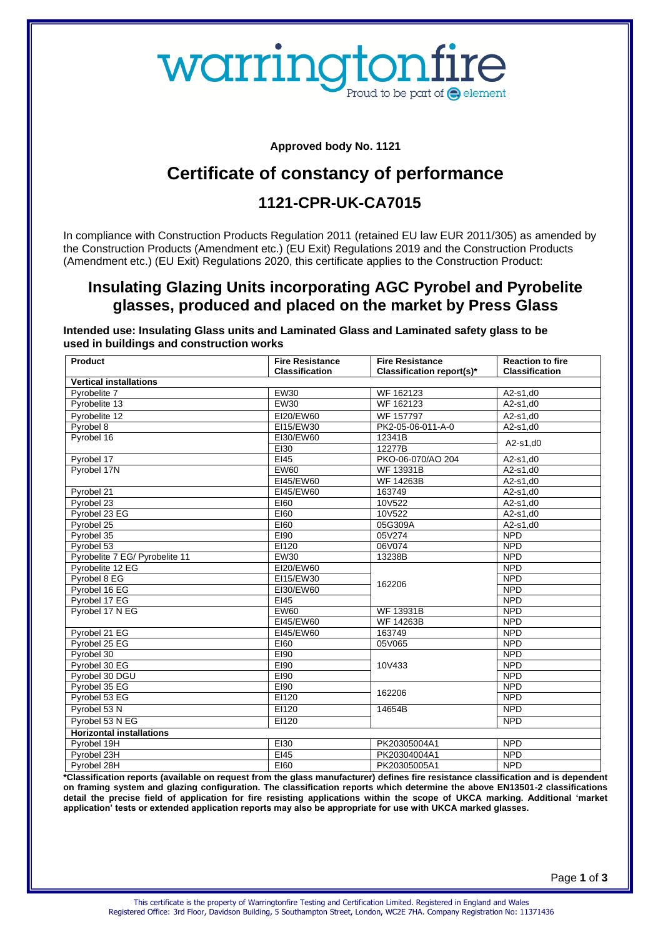# warringtonfire Proud to be part of  $\bigcirc$  element

**Approved body No. 1121**

# **Certificate of constancy of performance**

## **1121-CPR-UK-CA7015**

In compliance with Construction Products Regulation 2011 (retained EU law EUR 2011/305) as amended by the Construction Products (Amendment etc.) (EU Exit) Regulations 2019 and the Construction Products (Amendment etc.) (EU Exit) Regulations 2020, this certificate applies to the Construction Product:

#### **Insulating Glazing Units incorporating AGC Pyrobel and Pyrobelite glasses, produced and placed on the market by Press Glass**

**Intended use: Insulating Glass units and Laminated Glass and Laminated safety glass to be used in buildings and construction works**

| <b>Product</b>                  | <b>Fire Resistance</b> | <b>Fire Resistance</b>    | <b>Reaction to fire</b> |
|---------------------------------|------------------------|---------------------------|-------------------------|
|                                 | <b>Classification</b>  | Classification report(s)* | <b>Classification</b>   |
| <b>Vertical installations</b>   |                        |                           |                         |
| Pyrobelite 7                    | <b>EW30</b>            | WF 162123                 | A2-s1,d0                |
| Pyrobelite 13                   | <b>EW30</b>            | WF 162123                 | $A2-S1, d0$             |
| Pyrobelite 12                   | EI20/EW60              | WF 157797                 | $A2-s1,d0$              |
| Pyrobel 8                       | EI15/EW30              | PK2-05-06-011-A-0         | $A2-S1.d0$              |
| Pyrobel 16                      | EI30/EW60              | 12341B                    | $A2-s1,d0$              |
|                                 | EI30                   | 12277B                    |                         |
| Pyrobel 17                      | EI45                   | PKO-06-070/AO 204         | A2-s1,d0                |
| Pvrobel 17N                     | <b>EW60</b>            | <b>WF 13931B</b>          | $A2-s1,d0$              |
|                                 | EI45/EW60              | <b>WF 14263B</b>          | $A2-S1, d0$             |
| Pyrobel 21                      | EI45/EW60              | 163749                    | $A2-s1,d0$              |
| Pvrobel 23                      | E160                   | 10V522                    | $A2-s1,d0$              |
| Pvrobel 23 EG                   | E160                   | 10V522                    | A2-s1,d0                |
| Pyrobel 25                      | E160                   | 05G309A                   | $A2-s1,d0$              |
| Pyrobel 35                      | E190                   | 05V274                    | <b>NPD</b>              |
| Pyrobel 53                      | EI120                  | 06V074                    | <b>NPD</b>              |
| Pyrobelite 7 EG/ Pyrobelite 11  | EW30                   | 13238B                    | <b>NPD</b>              |
| Pyrobelite 12 EG                | EI20/EW60              | 162206                    | <b>NPD</b>              |
| Pyrobel 8 EG                    | EI15/EW30              |                           | <b>NPD</b>              |
| Pyrobel 16 EG                   | EI30/EW60              |                           | <b>NPD</b>              |
| Pyrobel 17 EG                   | EI45                   |                           | <b>NPD</b>              |
| Pvrobel 17 N EG                 | EW60                   | <b>WF 13931B</b>          | <b>NPD</b>              |
|                                 | EI45/EW60              | <b>WF 14263B</b>          | <b>NPD</b>              |
| Pyrobel 21 EG                   | EI45/EW60              | 163749                    | <b>NPD</b>              |
| Pyrobel 25 EG                   | E160                   | 05V065                    | <b>NPD</b>              |
| Pyrobel 30                      | E190                   | 10V433                    | <b>NPD</b>              |
| Pyrobel 30 EG                   | E190                   |                           | <b>NPD</b>              |
| Pyrobel 30 DGU                  | E190                   |                           | <b>NPD</b>              |
| Pyrobel 35 EG                   | E190                   | 162206                    | <b>NPD</b>              |
| Pyrobel 53 EG                   | EI120                  |                           | <b>NPD</b>              |
| Pyrobel 53 N                    | EI120                  | 14654B                    | <b>NPD</b>              |
| Pyrobel 53 N EG                 | EI120                  |                           | <b>NPD</b>              |
| <b>Horizontal installations</b> |                        |                           |                         |
| Pyrobel 19H                     | EI30                   | PK20305004A1              | <b>NPD</b>              |
| Pyrobel 23H                     | E145                   | PK20304004A1              | <b>NPD</b>              |
| Pvrobel 28H                     | E160                   | PK20305005A1              | <b>NPD</b>              |

**\*Classification reports (available on request from the glass manufacturer) defines fire resistance classification and is dependent on framing system and glazing configuration. The classification reports which determine the above EN13501-2 classifications detail the precise field of application for fire resisting applications within the scope of UKCA marking. Additional 'market application' tests or extended application reports may also be appropriate for use with UKCA marked glasses.**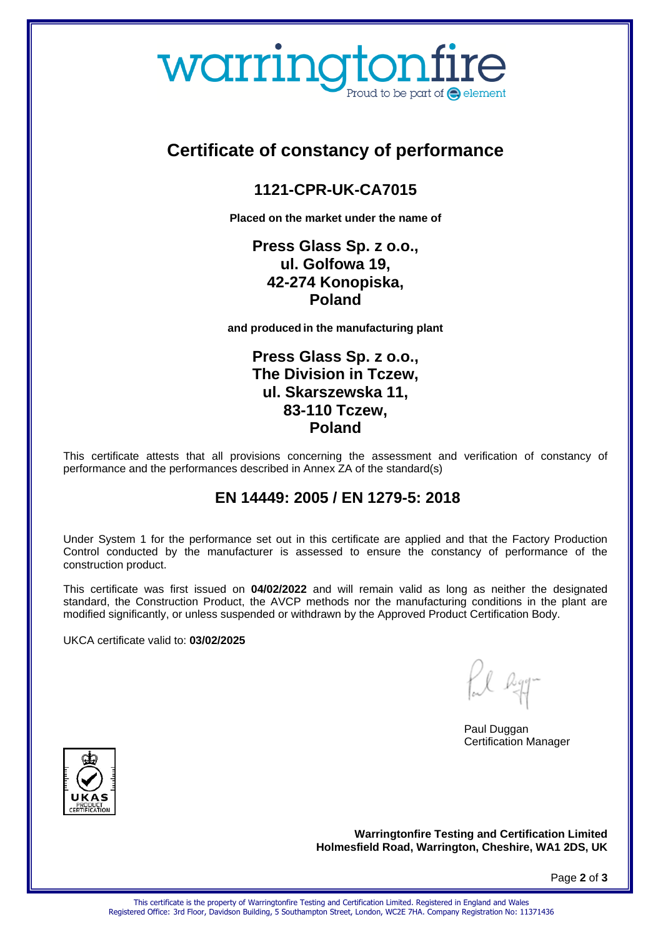# warringtonfire Proud to be part of  $\bigcirc$  element

# **Certificate of constancy of performance**

## **1121-CPR-UK-CA7015**

**Placed on the market under the name of** 

#### **Press Glass Sp. z o.o., ul. Golfowa 19, 42-274 Konopiska, Poland**

**and produced in the manufacturing plant** 

#### **Press Glass Sp. z o.o., The Division in Tczew, ul. Skarszewska 11, 83-110 Tczew, Poland**

This certificate attests that all provisions concerning the assessment and verification of constancy of performance and the performances described in Annex ZA of the standard(s)

## **EN 14449: 2005 / EN 1279-5: 2018**

Under System 1 for the performance set out in this certificate are applied and that the Factory Production Control conducted by the manufacturer is assessed to ensure the constancy of performance of the construction product.

This certificate was first issued on **04/02/2022** and will remain valid as long as neither the designated standard, the Construction Product, the AVCP methods nor the manufacturing conditions in the plant are modified significantly, or unless suspended or withdrawn by the Approved Product Certification Body.

UKCA certificate valid to: **03/02/2025** 

fil ly

Paul Duggan Certification Manager



**Warringtonfire Testing and Certification Limited Holmesfield Road, Warrington, Cheshire, WA1 2DS, UK** 

Page **2** of **3**